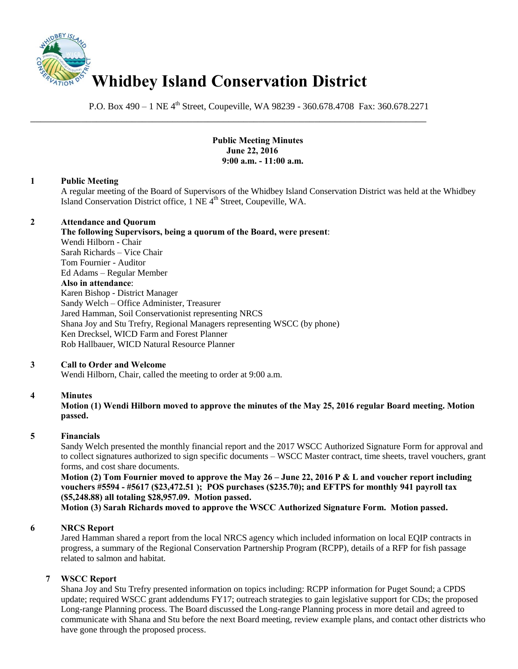

P.O. Box 490 – 1 NE 4<sup>th</sup> Street, Coupeville, WA 98239 - 360.678.4708 Fax: 360.678.2271

\_\_\_\_\_\_\_\_\_\_\_\_\_\_\_\_\_\_\_\_\_\_\_\_\_\_\_\_\_\_\_\_\_\_\_\_\_\_\_\_\_\_\_\_\_\_\_\_\_\_\_\_\_\_\_\_\_\_\_\_\_\_\_\_\_\_\_\_\_\_\_\_\_\_\_\_\_\_

 **Public Meeting Minutes June 22, 2016 9:00 a.m. - 11:00 a.m.** 

#### **1 Public Meeting**

A regular meeting of the Board of Supervisors of the Whidbey Island Conservation District was held at the Whidbey Island Conservation District office, 1 NE 4<sup>th</sup> Street, Coupeville, WA.

#### **2 Attendance and Quorum**

**The following Supervisors, being a quorum of the Board, were present**: Wendi Hilborn - Chair Sarah Richards – Vice Chair Tom Fournier - Auditor Ed Adams – Regular Member **Also in attendance**: Karen Bishop - District Manager Sandy Welch – Office Administer, Treasurer Jared Hamman, Soil Conservationist representing NRCS Shana Joy and Stu Trefry, Regional Managers representing WSCC (by phone) Ken Drecksel, WICD Farm and Forest Planner Rob Hallbauer, WICD Natural Resource Planner

## **3 Call to Order and Welcome**

Wendi Hilborn, Chair, called the meeting to order at 9:00 a.m.

## **4 Minutes**

**Motion (1) Wendi Hilborn moved to approve the minutes of the May 25, 2016 regular Board meeting. Motion passed.** 

## **5 Financials**

Sandy Welch presented the monthly financial report and the 2017 WSCC Authorized Signature Form for approval and to collect signatures authorized to sign specific documents – WSCC Master contract, time sheets, travel vouchers, grant forms, and cost share documents.

**Motion (2) Tom Fournier moved to approve the May 26 – June 22, 2016 P & L and voucher report including vouchers #5594 - #5617 (\$23,472.51 ); POS purchases (\$235.70); and EFTPS for monthly 941 payroll tax (\$5,248.88) all totaling \$28,957.09. Motion passed.** 

**Motion (3) Sarah Richards moved to approve the WSCC Authorized Signature Form. Motion passed.** 

## **6 NRCS Report**

Jared Hamman shared a report from the local NRCS agency which included information on local EQIP contracts in progress, a summary of the Regional Conservation Partnership Program (RCPP), details of a RFP for fish passage related to salmon and habitat.

## **7 WSCC Report**

Shana Joy and Stu Trefry presented information on topics including: RCPP information for Puget Sound; a CPDS update; required WSCC grant addendums FY17; outreach strategies to gain legislative support for CDs; the proposed Long-range Planning process. The Board discussed the Long-range Planning process in more detail and agreed to communicate with Shana and Stu before the next Board meeting, review example plans, and contact other districts who have gone through the proposed process.